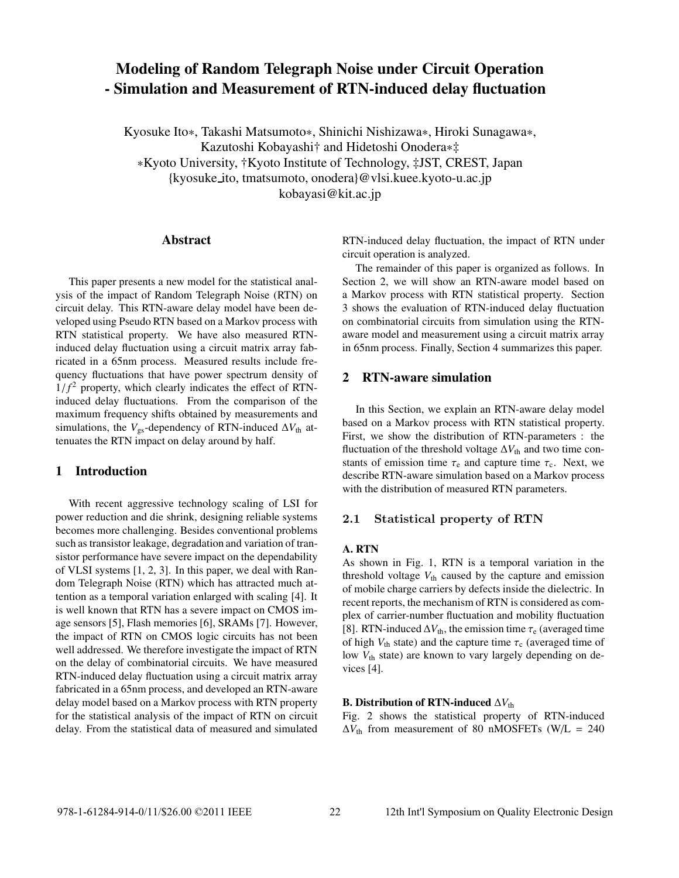# **Modeling of Random Telegraph Noise under Circuit Operation - Simulation and Measurement of RTN-induced delay fluctuation**

Kyosuke Ito∗, Takashi Matsumoto∗, Shinichi Nishizawa∗, Hiroki Sunagawa∗, Kazutoshi Kobayashi† and Hidetoshi Onodera∗‡ ∗Kyoto University, †Kyoto Institute of Technology, ‡JST, CREST, Japan {kyosuke ito, tmatsumoto, onodera}@vlsi.kuee.kyoto-u.ac.jp kobayasi@kit.ac.jp

### **Abstract**

This paper presents a new model for the statistical analysis of the impact of Random Telegraph Noise (RTN) on circuit delay. This RTN-aware delay model have been developed using Pseudo RTN based on a Markov process with RTN statistical property. We have also measured RTNinduced delay fluctuation using a circuit matrix array fabricated in a 65nm process. Measured results include frequency fluctuations that have power spectrum density of  $1/f<sup>2</sup>$  property, which clearly indicates the effect of RTNinduced delay fluctuations. From the comparison of the maximum frequency shifts obtained by measurements and simulations, the  $V_{gs}$ -dependency of RTN-induced  $\Delta V_{th}$  attenuates the RTN impact on delay around by half.

### **1 Introduction**

With recent aggressive technology scaling of LSI for power reduction and die shrink, designing reliable systems becomes more challenging. Besides conventional problems such as transistor leakage, degradation and variation of transistor performance have severe impact on the dependability of VLSI systems [1, 2, 3]. In this paper, we deal with Random Telegraph Noise (RTN) which has attracted much attention as a temporal variation enlarged with scaling [4]. It is well known that RTN has a severe impact on CMOS image sensors [5], Flash memories [6], SRAMs [7]. However, the impact of RTN on CMOS logic circuits has not been well addressed. We therefore investigate the impact of RTN on the delay of combinatorial circuits. We have measured RTN-induced delay fluctuation using a circuit matrix array fabricated in a 65nm process, and developed an RTN-aware delay model based on a Markov process with RTN property for the statistical analysis of the impact of RTN on circuit delay. From the statistical data of measured and simulated

RTN-induced delay fluctuation, the impact of RTN under circuit operation is analyzed.

The remainder of this paper is organized as follows. In Section 2, we will show an RTN-aware model based on a Markov process with RTN statistical property. Section 3 shows the evaluation of RTN-induced delay fluctuation on combinatorial circuits from simulation using the RTNaware model and measurement using a circuit matrix array in 65nm process. Finally, Section 4 summarizes this paper.

# **2 RTN-aware simulation**

In this Section, we explain an RTN-aware delay model based on a Markov process with RTN statistical property. First, we show the distribution of RTN-parameters : the fluctuation of the threshold voltage  $\Delta V_{th}$  and two time constants of emission time  $\tau_e$  and capture time  $\tau_c$ . Next, we describe RTN-aware simulation based on a Markov process with the distribution of measured RTN parameters.

#### **2.1 Statistical property of RTN**

### **A. RTN**

As shown in Fig. 1, RTN is a temporal variation in the threshold voltage  $V_{\text{th}}$  caused by the capture and emission of mobile charge carriers by defects inside the dielectric. In recent reports, the mechanism of RTN is considered as complex of carrier-number fluctuation and mobility fluctuation [8]. RTN-induced  $\Delta V_{th}$ , the emission time  $\tau_e$  (averaged time of high  $V_{\text{th}}$  state) and the capture time  $\tau_c$  (averaged time of low  $V_{th}$  state) are known to vary largely depending on devices [4].

### **B. Distribution of RTN-induced**  $\Delta V_{\text{th}}$

Fig. 2 shows the statistical property of RTN-induced  $\Delta V_{\text{th}}$  from measurement of 80 nMOSFETs (W/L = 240)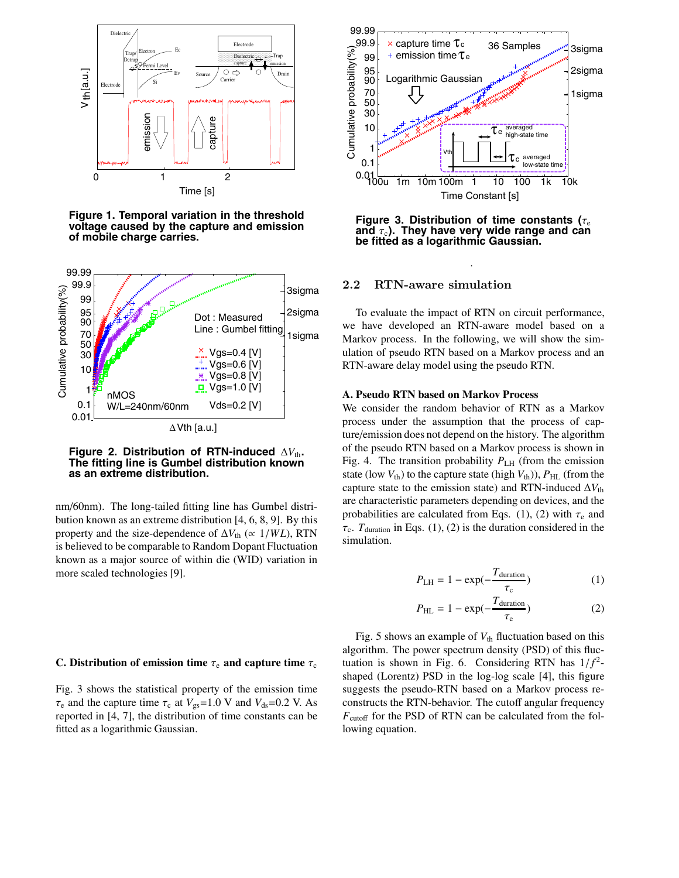

**Figure 1. Temporal variation in the threshold voltage caused by the capture and emission of mobile charge carries.**



**Figure 2. Distribution of RTN-induced** <sup>Δ</sup>*V*th**. The fitting line is Gumbel distribution known as an extreme distribution.**

nm/60nm). The long-tailed fitting line has Gumbel distribution known as an extreme distribution [4, 6, 8, 9]. By this property and the size-dependence of  $\Delta V_{\text{th}}$  ( $\propto 1/WL$ ), RTN is believed to be comparable to Random Dopant Fluctuation known as a major source of within die (WID) variation in more scaled technologies [9].

#### **C. Distribution of emission time**  $\tau_e$  and capture time  $\tau_c$

Fig. 3 shows the statistical property of the emission time  $\tau_e$  and the capture time  $\tau_c$  at  $V_{gs}=1.0$  V and  $V_{ds}=0.2$  V. As reported in [4, 7], the distribution of time constants can be fitted as a logarithmic Gaussian.



**Figure 3. Distribution of time constants (τ. and** τ<sub>c</sub>). They have very wide range and can **be fitted as a logarithmic Gaussian.**

.

#### **2.2 RTN-aware simulation**

To evaluate the impact of RTN on circuit performance, we have developed an RTN-aware model based on a Markov process. In the following, we will show the simulation of pseudo RTN based on a Markov process and an RTN-aware delay model using the pseudo RTN.

#### **A. Pseudo RTN based on Markov Process**

We consider the random behavior of RTN as a Markov process under the assumption that the process of capture/emission does not depend on the history. The algorithm of the pseudo RTN based on a Markov process is shown in Fig. 4. The transition probability  $P_{\text{LH}}$  (from the emission state (low  $V_{th}$ ) to the capture state (high  $V_{th}$ )),  $P_{HL}$  (from the capture state to the emission state) and RTN-induced  $\Delta V_{th}$ are characteristic parameters depending on devices, and the probabilities are calculated from Eqs. (1), (2) with  $\tau_e$  and  $\tau_c$ .  $T_{\text{duration}}$  in Eqs. (1), (2) is the duration considered in the simulation.

$$
P_{\text{LH}} = 1 - \exp(-\frac{T_{\text{duration}}}{\tau_{\text{c}}})
$$
 (1)

$$
P_{\rm HL} = 1 - \exp(-\frac{T_{\rm duration}}{\tau_{\rm e}})
$$
 (2)

Fig. 5 shows an example of  $V_{th}$  fluctuation based on this algorithm. The power spectrum density (PSD) of this fluctuation is shown in Fig. 6. Considering RTN has  $1/f^2$ shaped (Lorentz) PSD in the log-log scale [4], this figure suggests the pseudo-RTN based on a Markov process reconstructs the RTN-behavior. The cutoff angular frequency  $F_{\text{cutoff}}$  for the PSD of RTN can be calculated from the following equation.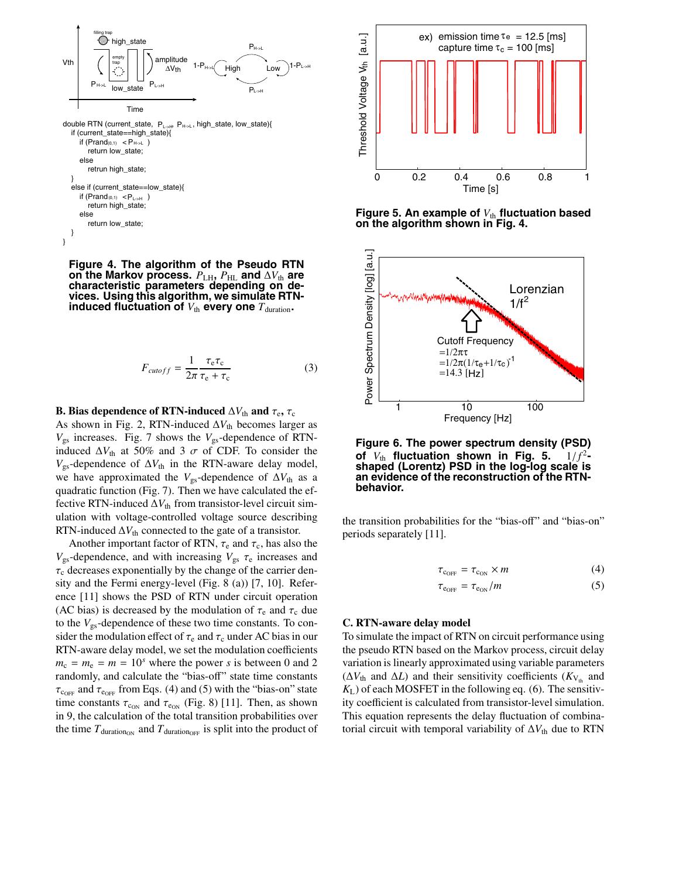

**Figure 4. The algorithm of the Pseudo RTN on the Markov process.**  $P_{\text{LH}}$ ,  $P_{\text{HL}}$  and  $\Delta V_{\text{th}}$  are **characteristic parameters depending on devices. Using this algorithm, we simulate RTNinduced fluctuation of**  $V_{\text{th}}$  **every one**  $T_{\text{duration}}$ .

$$
F_{cutoff} = \frac{1}{2\pi} \frac{\tau_{\rm e}\tau_{\rm c}}{\tau_{\rm e} + \tau_{\rm c}} \tag{3}
$$

#### **B. Bias dependence of RTN-induced**  $\Delta V_{th}$  and  $\tau_e$ ,  $\tau_c$

As shown in Fig. 2, RTN-induced  $\Delta V_{th}$  becomes larger as *V*gs increases. Fig. 7 shows the *V*gs-dependence of RTNinduced  $\Delta V_{\text{th}}$  at 50% and 3  $\sigma$  of CDF. To consider the  $V_{gs}$ -dependence of  $\Delta V_{th}$  in the RTN-aware delay model, we have approximated the  $V_{gs}$ -dependence of  $\Delta V_{th}$  as a quadratic function (Fig. 7). Then we have calculated the effective RTN-induced  $\Delta V_{\text{th}}$  from transistor-level circuit simulation with voltage-controlled voltage source describing RTN-induced  $\Delta V_{th}$  connected to the gate of a transistor.

Another important factor of RTN,  $\tau_e$  and  $\tau_c$ , has also the  $V_{\rm gs}$ -dependence, and with increasing  $V_{\rm gs}$   $\tau_{\rm e}$  increases and  $\tau_c$  decreases exponentially by the change of the carrier density and the Fermi energy-level (Fig. 8 (a)) [7, 10]. Reference [11] shows the PSD of RTN under circuit operation (AC bias) is decreased by the modulation of  $\tau_e$  and  $\tau_c$  due to the  $V_{gs}$ -dependence of these two time constants. To consider the modulation effect of  $\tau_e$  and  $\tau_c$  under AC bias in our RTN-aware delay model, we set the modulation coefficients  $m_c = m_e = m = 10<sup>s</sup>$  where the power *s* is between 0 and 2 randomly, and calculate the "bias-off" state time constants  $\tau_{\text{COFF}}$  and  $\tau_{\text{COFF}}$  from Eqs. (4) and (5) with the "bias-on" state time constants  $\tau_{c_{ON}}$  and  $\tau_{c_{ON}}$  (Fig. 8) [11]. Then, as shown in 9, the calculation of the total transition probabilities over the time  $T_{\text{duration}}$  and  $T_{\text{duration}}$  is split into the product of



**Figure 5. An example of**  $V_{\text{th}}$  fluctuation based **on the algorithm shown in Fig. 4.**



**Figure 6. The power spectrum density (PSD) of** *<sup>V</sup>*th **fluctuation shown in Fig. 5.** <sup>1</sup>/ *<sup>f</sup>* <sup>2</sup>**- shaped (Lorentz) PSD in the log-log scale is an evidence of the reconstruction of the RTNbehavior.**

the transition probabilities for the "bias-off" and "bias-on" periods separately [11].

$$
\tau_{\rm coFF} = \tau_{\rm con} \times m \tag{4}
$$

$$
\tau_{\rm e_{OFF}} = \tau_{\rm e_{ON}}/m \tag{5}
$$

#### **C. RTN-aware delay model**

To simulate the impact of RTN on circuit performance using the pseudo RTN based on the Markov process, circuit delay variation is linearly approximated using variable parameters ( $\Delta V_{\text{th}}$  and  $\Delta L$ ) and their sensitivity coefficients ( $K_{V_{\text{th}}}$  and *K*L) of each MOSFET in the following eq. (6). The sensitivity coefficient is calculated from transistor-level simulation. This equation represents the delay fluctuation of combinatorial circuit with temporal variability of  $\Delta V_{th}$  due to RTN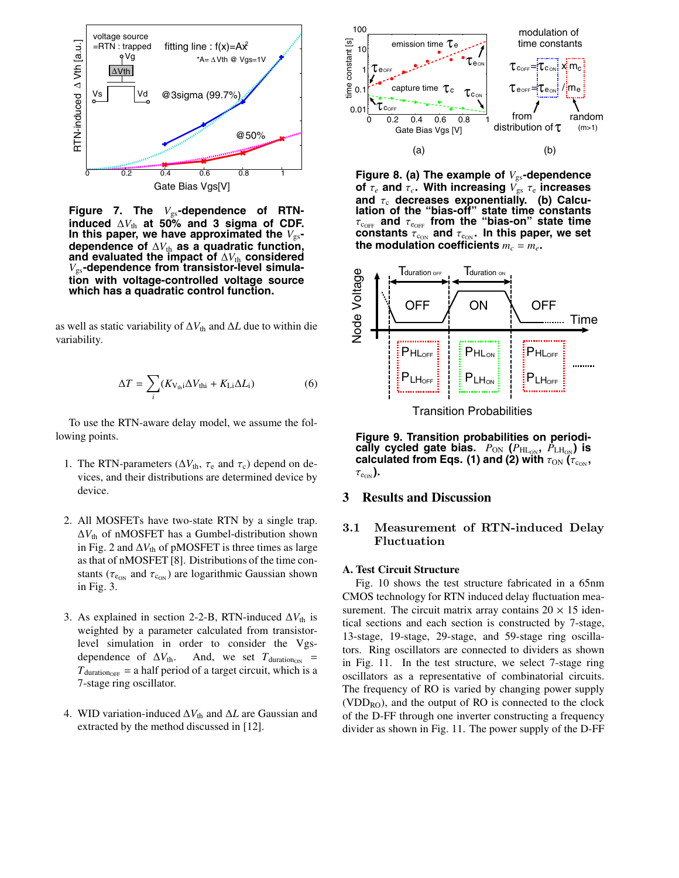

Figure 7. The  $V_{gs}$ -dependence of RTN**induced**  $\Delta V_{\text{th}}$  at 50% and 3 sigma of CDF. In this paper, we have approximated the  $V_{gs}$ dependence of  $\Delta V_{th}$  as a quadratic function, **and evaluated the impact of**  $\Delta V_{\text{th}}$  considered *V*gs**-dependence from transistor-level simulation with voltage-controlled voltage source which has a quadratic control function.**

as well as static variability of  $\Delta V_{th}$  and  $\Delta L$  due to within die variability.

$$
\Delta T = \sum_{i} (K_{V_{\text{th}}i} \Delta V_{\text{th}i} + K_{\text{Li}} \Delta L_{i})
$$
 (6)

To use the RTN-aware delay model, we assume the following points.

- 1. The RTN-parameters ( $\Delta V_{th}$ ,  $\tau_e$  and  $\tau_c$ ) depend on devices, and their distributions are determined device by device.
- 2. All MOSFETs have two-state RTN by a single trap.  $\Delta V_{\text{th}}$  of nMOSFET has a Gumbel-distribution shown in Fig. 2 and  $\Delta V_{\text{th}}$  of pMOSFET is three times as large as that of nMOSFET [8]. Distributions of the time constants ( $\tau_{e_{ON}}$  and  $\tau_{c_{ON}}$ ) are logarithmic Gaussian shown in Fig. 3.
- 3. As explained in section 2-2-B, RTN-induced  $\Delta V_{th}$  is weighted by a parameter calculated from transistorlevel simulation in order to consider the Vgsdependence of  $\Delta V_{\text{th}}$ . And, we set  $T_{\text{duration}}$  =  $T_{\text{duration}_{\text{OFF}}}$  = a half period of a target circuit, which is a 7-stage ring oscillator.
- 4. WID variation-induced Δ*V*th and Δ*L* are Gaussian and extracted by the method discussed in [12].



**Figure 8. (a) The example of** *V*gs**-dependence of** τ*<sup>e</sup>* **and** τ*c***. With increasing** *V*gs τ<sup>e</sup> **increases and τ<sub>c</sub> decreases exponentially. (b) Calculation of the "bias-off" state time constants**  $\tau_{\rm c_{OFF}}$  and  $\tau_{\rm e_{OFF}}$  from the "bias-on" state time constants  $\tau_{\text{c}_{\text{ON}}}$  and  $\tau_{\text{e}_{\text{ON}}}$ . In this paper, we set the modulation coefficients  $m_c = m_e$ .



Transition Probabilities

**Figure 9. Transition probabilities on periodically cycled gate bias.**  $P_{\text{ON}}$  ( $P_{\text{HL_{ON}}}$ ,  $P_{\text{LH_{ON}}}$ ) is **calculated from Eqs. (1) and (2) with**  $\tau_{\text{ON}}$  ( $\tau_{\text{c}_{\text{ON}}}$ ,  $\tau_{\text{e}_{\text{ON}}}$ ).

## **3 Results and Discussion**

### **3.1 Measurement of RTN-induced Delay Fluctuation**

#### **A. Test Circuit Structure**

Fig. 10 shows the test structure fabricated in a 65nm CMOS technology for RTN induced delay fluctuation measurement. The circuit matrix array contains  $20 \times 15$  identical sections and each section is constructed by 7-stage, 13-stage, 19-stage, 29-stage, and 59-stage ring oscillators. Ring oscillators are connected to dividers as shown in Fig. 11. In the test structure, we select 7-stage ring oscillators as a representative of combinatorial circuits. The frequency of RO is varied by changing power supply  $(VDD<sub>RO</sub>)$ , and the output of RO is connected to the clock of the D-FF through one inverter constructing a frequency divider as shown in Fig. 11. The power supply of the D-FF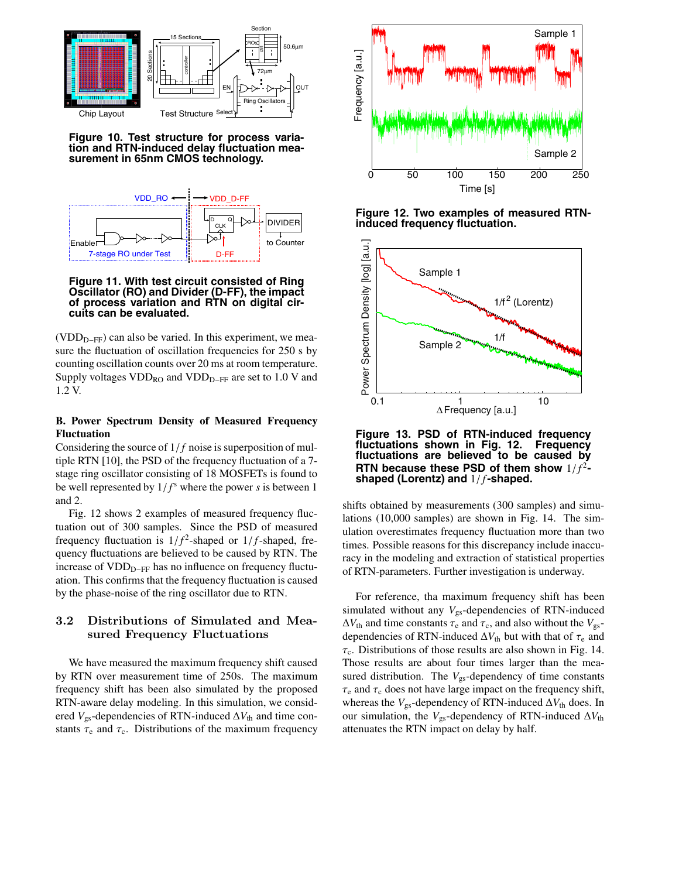

**Figure 10. Test structure for process variation and RTN-induced delay fluctuation measurement in 65nm CMOS technology.**



### **Figure 11. With test circuit consisted of Ring Oscillator (RO) and Divider (D-FF), the impact of process variation and RTN on digital circuits can be evaluated.**

 $(VDD<sub>D-FF</sub>)$  can also be varied. In this experiment, we measure the fluctuation of oscillation frequencies for 250 s by counting oscillation counts over 20 ms at room temperature. Supply voltages  $VDD_{RO}$  and  $VDD_{D-FF}$  are set to 1.0 V and 1.2 V.

# **B. Power Spectrum Density of Measured Frequency Fluctuation**

Considering the source of 1/ *f* noise is superposition of multiple RTN [10], the PSD of the frequency fluctuation of a 7 stage ring oscillator consisting of 18 MOSFETs is found to be well represented by  $1/f<sup>s</sup>$  where the power *s* is between 1 and 2.

Fig. 12 shows 2 examples of measured frequency fluctuation out of 300 samples. Since the PSD of measured frequency fluctuation is  $1/f^2$ -shaped or  $1/f$ -shaped, frequency fluctuations are believed to be caused by RTN. The increase of  $VDD<sub>D-FF</sub>$  has no influence on frequency fluctuation. This confirms that the frequency fluctuation is caused by the phase-noise of the ring oscillator due to RTN.

# **3.2 Distributions of Simulated and Measured Frequency Fluctuations**

We have measured the maximum frequency shift caused by RTN over measurement time of 250s. The maximum frequency shift has been also simulated by the proposed RTN-aware delay modeling. In this simulation, we considered  $V_{gs}$ -dependencies of RTN-induced  $\Delta V_{th}$  and time constants  $\tau_e$  and  $\tau_c$ . Distributions of the maximum frequency



**Figure 12. Two examples of measured RTNinduced frequency fluctuation.**



**Figure 13. PSD of RTN-induced frequency** fluctuations shown in Fig. 12. **fluctuations are believed to be caused by RTN because these PSD of them show**  $1/f^2$ -<br>**shaped (Lorentz) and**  $1/f$ -shaped.

shifts obtained by measurements (300 samples) and simulations (10,000 samples) are shown in Fig. 14. The simulation overestimates frequency fluctuation more than two times. Possible reasons for this discrepancy include inaccuracy in the modeling and extraction of statistical properties of RTN-parameters. Further investigation is underway.

For reference, tha maximum frequency shift has been simulated without any  $V_{gs}$ -dependencies of RTN-induced  $\Delta V_{\text{th}}$  and time constants  $\tau_{\text{e}}$  and  $\tau_{\text{c}}$ , and also without the  $V_{\text{gs}}$ dependencies of RTN-induced  $\Delta V_{th}$  but with that of  $\tau_e$  and  $\tau_c$ . Distributions of those results are also shown in Fig. 14. Those results are about four times larger than the measured distribution. The  $V_{gs}$ -dependency of time constants  $\tau_e$  and  $\tau_c$  does not have large impact on the frequency shift, whereas the  $V_{gs}$ -dependency of RTN-induced  $\Delta V_{th}$  does. In our simulation, the  $V_{gs}$ -dependency of RTN-induced  $\Delta V_{th}$ attenuates the RTN impact on delay by half.